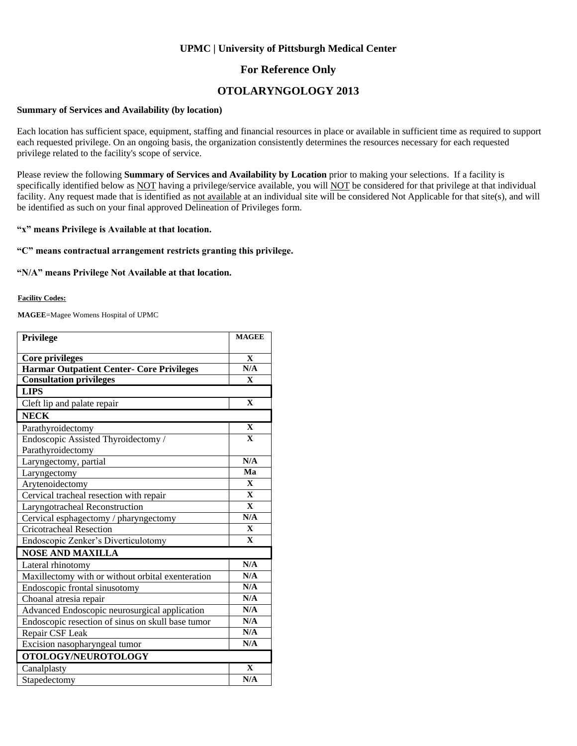## **UPMC | University of Pittsburgh Medical Center**

## **For Reference Only**

# **OTOLARYNGOLOGY 2013**

### **Summary of Services and Availability (by location)**

Each location has sufficient space, equipment, staffing and financial resources in place or available in sufficient time as required to support each requested privilege. On an ongoing basis, the organization consistently determines the resources necessary for each requested privilege related to the facility's scope of service.

Please review the following **Summary of Services and Availability by Location** prior to making your selections. If a facility is specifically identified below as NOT having a privilege/service available, you will NOT be considered for that privilege at that individual facility. Any request made that is identified as not available at an individual site will be considered Not Applicable for that site(s), and will be identified as such on your final approved Delineation of Privileges form.

### **"x" means Privilege is Available at that location.**

### **"C" means contractual arrangement restricts granting this privilege.**

### **"N/A" means Privilege Not Available at that location.**

#### **Facility Codes:**

**MAGEE**=Magee Womens Hospital of UPMC

| <b>Privilege</b>                                  | <b>MAGEE</b>            |
|---------------------------------------------------|-------------------------|
| <b>Core privileges</b>                            | X                       |
| <b>Harmar Outpatient Center- Core Privileges</b>  | N/A                     |
| <b>Consultation privileges</b>                    | $\mathbf{X}$            |
| <b>LIPS</b>                                       |                         |
| Cleft lip and palate repair                       | $\mathbf X$             |
| <b>NECK</b>                                       |                         |
| Parathyroidectomy                                 | $\mathbf X$             |
| Endoscopic Assisted Thyroidectomy /               | $\mathbf{x}$            |
| Parathyroidectomy                                 |                         |
| Laryngectomy, partial                             | N/A                     |
| Laryngectomy                                      | Ma                      |
| Arytenoidectomy                                   | $\mathbf{X}$            |
| Cervical tracheal resection with repair           | $\overline{\mathbf{X}}$ |
| Laryngotracheal Reconstruction                    | $\overline{\mathbf{X}}$ |
| Cervical esphagectomy / pharyngectomy             | N/A                     |
| <b>Cricotracheal Resection</b>                    | $\mathbf{X}$            |
| Endoscopic Zenker's Diverticulotomy               | $\overline{\mathbf{X}}$ |
| <b>NOSE AND MAXILLA</b>                           |                         |
| Lateral rhinotomy                                 | N/A                     |
| Maxillectomy with or without orbital exenteration | N/A                     |
| Endoscopic frontal sinusotomy                     | N/A                     |
| Choanal atresia repair                            | N/A                     |
| Advanced Endoscopic neurosurgical application     | N/A                     |
| Endoscopic resection of sinus on skull base tumor | N/A                     |
| Repair CSF Leak                                   | N/A                     |
| Excision nasopharyngeal tumor                     | N/A                     |
| OTOLOGY/NEUROTOLOGY                               |                         |
| Canalplasty                                       | $\mathbf{X}$            |
| Stapedectomy                                      | N/A                     |